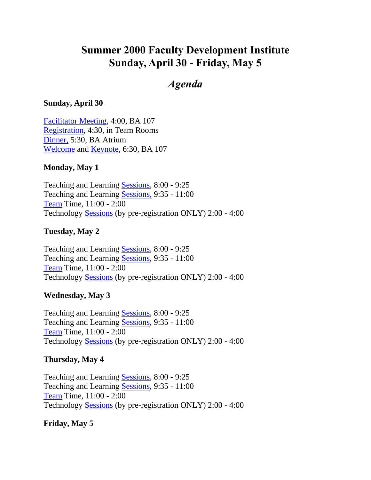## <span id="page-0-0"></span>**Summer 2000 Faculty Development Institute Sunday, April 30 - Friday, May 5**

## *Agenda*

#### **Sunday, April 30**

[Facilitator Meeting,](#page-1-0) 4:00, BA 107 [Registration,](#page-1-1) 4:30, in Team Rooms [Dinner,](#page-1-2) 5:30, BA Atrium [Welcome](#page-1-3) and [Keynote,](#page-1-4) 6:30, BA 107

#### **Monday, May 1**

Teaching and Learning [Sessions,](#page-2-0) 8:00 - 9:25 Teaching and Learning [Sessions,](#page-4-0) 9:35 - 11:00 [Team](#page-6-0) Time, 11:00 - 2:00 Technology [Sessions](#page-6-1) (by pre-registration ONLY) 2:00 - 4:00

#### **Tuesday, May 2**

Teaching and Learning [Sessions,](#page-8-0) 8:00 - 9:25 Teaching and Learning [Sessions,](#page-10-0) 9:35 - 11:00 [Team](#page-12-0) Time, 11:00 - 2:00 Technology [Sessions](#page-12-1) (by pre-registration ONLY) 2:00 - 4:00

#### **Wednesday, May 3**

Teaching and Learning [Sessions,](#page-14-0) 8:00 - 9:25 Teaching and Learning [Sessions,](#page-16-0) 9:35 - 11:00 [Team](#page-18-0) Time, 11:00 - 2:00 Technology [Sessions](#page-6-2) (by pre-registration ONLY) 2:00 - 4:00

#### **Thursday, May 4**

Teaching and Learning [Sessions,](#page-20-0) 8:00 - 9:25 Teaching and Learning [Sessions,](#page-22-0) 9:35 - 11:00 [Team](#page-24-0) Time, 11:00 - 2:00 Technology [Sessions](#page-12-1) (by pre-registration ONLY) 2:00 - 4:00

#### **Friday, May 5**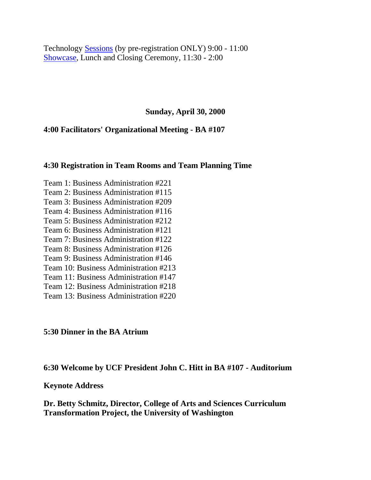Technology [Sessions](#page-26-0) (by pre-registration ONLY) 9:00 - 11:00 [Showcase,](#page-28-0) Lunch and Closing Ceremony, 11:30 - 2:00

**Sunday, April 30, 2000**

<span id="page-1-0"></span>**4:00 Facilitators' Organizational Meeting - BA #107**

#### <span id="page-1-1"></span>**4:30 Registration in Team Rooms and Team Planning Time**

Team 1: Business Administration #221 Team 2: Business Administration #115 Team 3: Business Administration #209 Team 4: Business Administration #116 Team 5: Business Administration #212 Team 6: Business Administration #121 Team 7: Business Administration #122 Team 8: Business Administration #126 Team 9: Business Administration #146 Team 10: Business Administration #213 Team 11: Business Administration #147 Team 12: Business Administration #218 Team 13: Business Administration #220

#### <span id="page-1-2"></span>**5:30 Dinner in the BA Atrium**

<span id="page-1-3"></span>**6:30 Welcome by UCF President John C. Hitt in BA #107 - Auditorium**

#### <span id="page-1-4"></span>**Keynote Address**

**Dr. Betty Schmitz, Director, College of Arts and Sciences Curriculum Transformation Project, the University of Washington**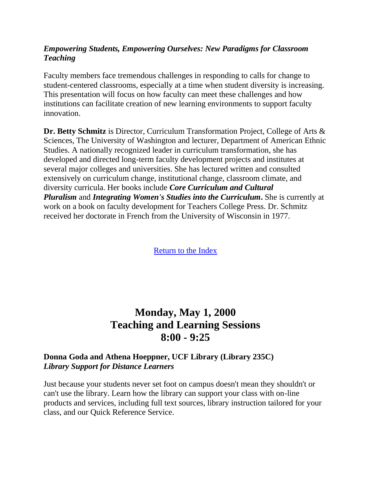## *Empowering Students, Empowering Ourselves: New Paradigms for Classroom Teaching*

Faculty members face tremendous challenges in responding to calls for change to student-centered classrooms, especially at a time when student diversity is increasing. This presentation will focus on how faculty can meet these challenges and how institutions can facilitate creation of new learning environments to support faculty innovation.

**Dr. Betty Schmitz** is Director, Curriculum Transformation Project, College of Arts & Sciences, The University of Washington and lecturer, Department of American Ethnic Studies. A nationally recognized leader in curriculum transformation, she has developed and directed long-term faculty development projects and institutes at several major colleges and universities. She has lectured written and consulted extensively on curriculum change, institutional change, classroom climate, and diversity curricula. Her books include *Core Curriculum and Cultural Pluralism* and *Integrating Women's Studies into the Curriculum***.** She is currently at work on a book on faculty development for Teachers College Press. Dr. Schmitz received her doctorate in French from the University of Wisconsin in 1977.

[Return to the Index](#page-0-0)

## <span id="page-2-0"></span>**Monday, May 1, 2000 Teaching and Learning Sessions 8:00 - 9:25**

## **Donna Goda and Athena Hoeppner, UCF Library (Library 235C)** *Library Support for Distance Learners*

Just because your students never set foot on campus doesn't mean they shouldn't or can't use the library. Learn how the library can support your class with on-line products and services, including full text sources, library instruction tailored for your class, and our Quick Reference Service.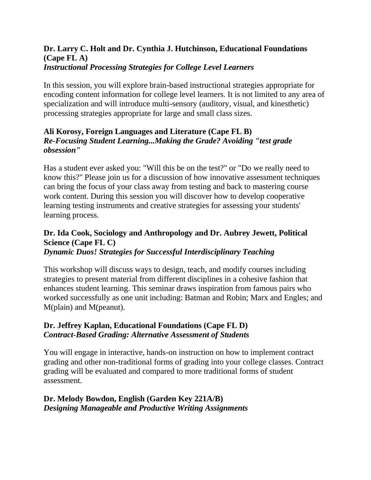#### **Dr. Larry C. Holt and Dr. Cynthia J. Hutchinson, Educational Foundations (Cape FL A)** *Instructional Processing Strategies for College Level Learners*

In this session, you will explore brain-based instructional strategies appropriate for encoding content information for college level learners. It is not limited to any area of specialization and will introduce multi-sensory (auditory, visual, and kinesthetic) processing strategies appropriate for large and small class sizes.

## **Ali Korosy, Foreign Languages and Literature (Cape FL B)** *Re-Focusing Student Learning...Making the Grade? Avoiding "test grade obsession"*

Has a student ever asked you: "Will this be on the test?" or "Do we really need to know this?" Please join us for a discussion of how innovative assessment techniques can bring the focus of your class away from testing and back to mastering course work content. During this session you will discover how to develop cooperative learning testing instruments and creative strategies for assessing your students' learning process.

#### **Dr. Ida Cook, Sociology and Anthropology and Dr. Aubrey Jewett, Political Science (Cape FL C)** *Dynamic Duos! Strategies for Successful Interdisciplinary Teaching*

This workshop will discuss ways to design, teach, and modify courses including strategies to present material from different disciplines in a cohesive fashion that enhances student learning. This seminar draws inspiration from famous pairs who worked successfully as one unit including: Batman and Robin; Marx and Engles; and M(plain) and M(peanut).

## **Dr. Jeffrey Kaplan, Educational Foundations (Cape FL D)** *Contract-Based Grading: Alternative Assessment of Students*

You will engage in interactive, hands-on instruction on how to implement contract grading and other non-traditional forms of grading into your college classes. Contract grading will be evaluated and compared to more traditional forms of student assessment.

## **Dr. Melody Bowdon, English (Garden Key 221A/B)** *Designing Manageable and Productive Writing Assignments*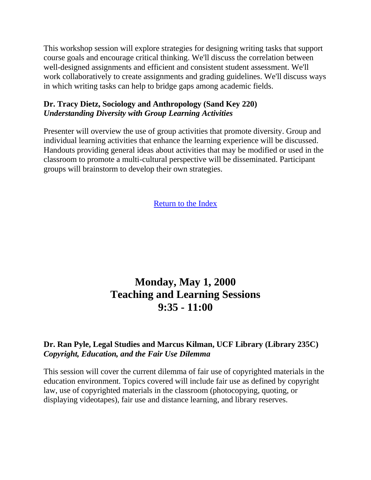This workshop session will explore strategies for designing writing tasks that support course goals and encourage critical thinking. We'll discuss the correlation between well-designed assignments and efficient and consistent student assessment. We'll work collaboratively to create assignments and grading guidelines. We'll discuss ways in which writing tasks can help to bridge gaps among academic fields.

### **Dr. Tracy Dietz, Sociology and Anthropology (Sand Key 220)** *Understanding Diversity with Group Learning Activities*

Presenter will overview the use of group activities that promote diversity. Group and individual learning activities that enhance the learning experience will be discussed. Handouts providing general ideas about activities that may be modified or used in the classroom to promote a multi-cultural perspective will be disseminated. Participant groups will brainstorm to develop their own strategies.

[Return to the Index](#page-0-0)

# <span id="page-4-0"></span>**Monday, May 1, 2000 Teaching and Learning Sessions 9:35 - 11:00**

## **Dr. Ran Pyle, Legal Studies and Marcus Kilman, UCF Library (Library 235C)** *Copyright, Education, and the Fair Use Dilemma*

This session will cover the current dilemma of fair use of copyrighted materials in the education environment. Topics covered will include fair use as defined by copyright law, use of copyrighted materials in the classroom (photocopying, quoting, or displaying videotapes), fair use and distance learning, and library reserves.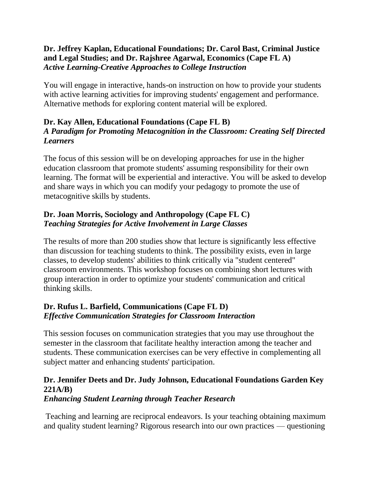## **Dr. Jeffrey Kaplan, Educational Foundations; Dr. Carol Bast, Criminal Justice and Legal Studies; and Dr. Rajshree Agarwal, Economics (Cape FL A)** *Active Learning-Creative Approaches to College Instruction*

You will engage in interactive, hands-on instruction on how to provide your students with active learning activities for improving students' engagement and performance. Alternative methods for exploring content material will be explored.

## **Dr. Kay Allen, Educational Foundations (Cape FL B)** *A Paradigm for Promoting Metacognition in the Classroom: Creating Self Directed Learners*

The focus of this session will be on developing approaches for use in the higher education classroom that promote students' assuming responsibility for their own learning. The format will be experiential and interactive. You will be asked to develop and share ways in which you can modify your pedagogy to promote the use of metacognitive skills by students.

## **Dr. Joan Morris, Sociology and Anthropology (Cape FL C)** *Teaching Strategies for Active Involvement in Large Classes*

The results of more than 200 studies show that lecture is significantly less effective than discussion for teaching students to think. The possibility exists, even in large classes, to develop students' abilities to think critically via "student centered" classroom environments. This workshop focuses on combining short lectures with group interaction in order to optimize your students' communication and critical thinking skills.

## **Dr. Rufus L. Barfield, Communications (Cape FL D)** *Effective Communication Strategies for Classroom Interaction*

This session focuses on communication strategies that you may use throughout the semester in the classroom that facilitate healthy interaction among the teacher and students. These communication exercises can be very effective in complementing all subject matter and enhancing students' participation.

## **Dr. Jennifer Deets and Dr. Judy Johnson, Educational Foundations Garden Key 221A/B)**

## *Enhancing Student Learning through Teacher Research*

Teaching and learning are reciprocal endeavors. Is your teaching obtaining maximum and quality student learning? Rigorous research into our own practices — questioning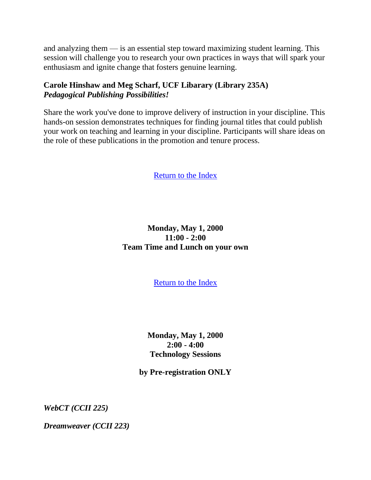and analyzing them — is an essential step toward maximizing student learning. This session will challenge you to research your own practices in ways that will spark your enthusiasm and ignite change that fosters genuine learning.

## **Carole Hinshaw and Meg Scharf, UCF Libarary (Library 235A)** *Pedagogical Publishing Possibilities!*

Share the work you've done to improve delivery of instruction in your discipline. This hands-on session demonstrates techniques for finding journal titles that could publish your work on teaching and learning in your discipline. Participants will share ideas on the role of these publications in the promotion and tenure process.

[Return to the Index](#page-0-0)

## <span id="page-6-0"></span>**Monday, May 1, 2000 11:00 - 2:00 Team Time and Lunch on your own**

[Return to the Index](#page-0-0)

**Monday, May 1, 2000 2:00 - 4:00 Technology Sessions**

**by Pre-registration ONLY**

<span id="page-6-2"></span><span id="page-6-1"></span>*WebCT (CCII 225)*

*Dreamweaver (CCII 223)*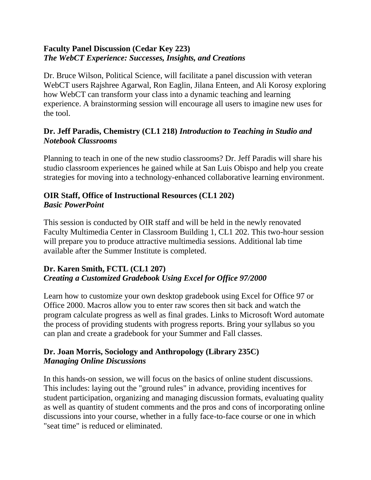## **Faculty Panel Discussion (Cedar Key 223)** *The WebCT Experience: Successes, Insights, and Creations*

Dr. Bruce Wilson, Political Science, will facilitate a panel discussion with veteran WebCT users Rajshree Agarwal, Ron Eaglin, Jilana Enteen, and Ali Korosy exploring how WebCT can transform your class into a dynamic teaching and learning experience. A brainstorming session will encourage all users to imagine new uses for the tool.

## **Dr. Jeff Paradis, Chemistry (CL1 218)** *Introduction to Teaching in Studio and Notebook Classrooms*

Planning to teach in one of the new studio classrooms? Dr. Jeff Paradis will share his studio classroom experiences he gained while at San Luis Obispo and help you create strategies for moving into a technology-enhanced collaborative learning environment.

### **OIR Staff, Office of Instructional Resources (CL1 202)** *Basic PowerPoint*

This session is conducted by OIR staff and will be held in the newly renovated Faculty Multimedia Center in Classroom Building 1, CL1 202. This two-hour session will prepare you to produce attractive multimedia sessions. Additional lab time available after the Summer Institute is completed.

## **Dr. Karen Smith, FCTL (CL1 207)** *Creating a Customized Gradebook Using Excel for Office 97/2000*

Learn how to customize your own desktop gradebook using Excel for Office 97 or Office 2000. Macros allow you to enter raw scores then sit back and watch the program calculate progress as well as final grades. Links to Microsoft Word automate the process of providing students with progress reports. Bring your syllabus so you can plan and create a gradebook for your Summer and Fall classes.

## **Dr. Joan Morris, Sociology and Anthropology (Library 235C)** *Managing Online Discussions*

In this hands-on session, we will focus on the basics of online student discussions. This includes: laying out the "ground rules" in advance, providing incentives for student participation, organizing and managing discussion formats, evaluating quality as well as quantity of student comments and the pros and cons of incorporating online discussions into your course, whether in a fully face-to-face course or one in which "seat time" is reduced or eliminated.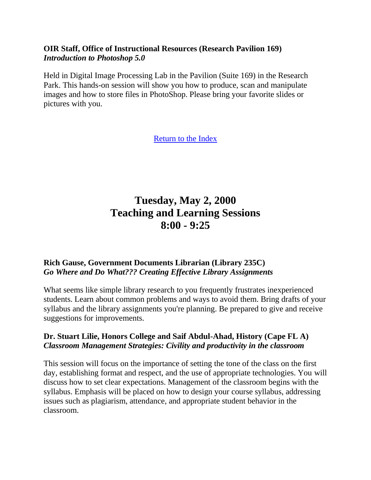### **OIR Staff, Office of Instructional Resources (Research Pavilion 169)** *Introduction to Photoshop 5.0*

Held in Digital Image Processing Lab in the Pavilion (Suite 169) in the Research Park. This hands-on session will show you how to produce, scan and manipulate images and how to store files in PhotoShop. Please bring your favorite slides or pictures with you.

<span id="page-8-0"></span>[Return to the Index](#page-0-0)

## **Tuesday, May 2, 2000 Teaching and Learning Sessions 8:00 - 9:25**

## **Rich Gause, Government Documents Librarian (Library 235C)** *Go Where and Do What??? Creating Effective Library Assignments*

What seems like simple library research to you frequently frustrates inexperienced students. Learn about common problems and ways to avoid them. Bring drafts of your syllabus and the library assignments you're planning. Be prepared to give and receive suggestions for improvements.

#### **Dr. Stuart Lilie, Honors College and Saif Abdul-Ahad, History (Cape FL A)** *Classroom Management Strategies: Civility and productivity in the classroom*

This session will focus on the importance of setting the tone of the class on the first day, establishing format and respect, and the use of appropriate technologies. You will discuss how to set clear expectations. Management of the classroom begins with the syllabus. Emphasis will be placed on how to design your course syllabus, addressing issues such as plagiarism, attendance, and appropriate student behavior in the classroom.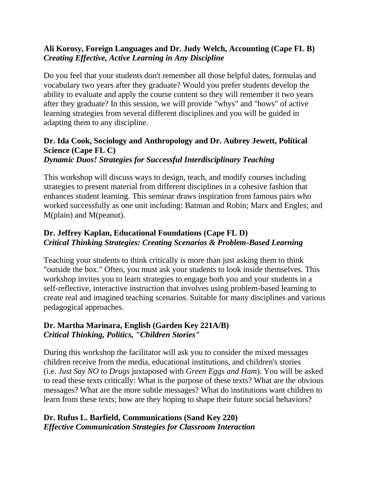## **Ali Korosy, Foreign Languages and Dr. Judy Welch, Accounting (Cape FL B)** *Creating Effective, Active Learning in Any Discipline*

Do you feel that your students don't remember all those helpful dates, formulas and vocabulary two years after they graduate? Would you prefer students develop the ability to evaluate and apply the course content so they will remember it two years after they graduate? In this session, we will provide "whys" and "hows" of active learning strategies from several different disciplines and you will be guided in adapting them to any discipline.

## **Dr. Ida Cook, Sociology and Anthropology and Dr. Aubrey Jewett, Political Science (Cape FL C)**

#### *Dynamic Duos! Strategies for Successful Interdisciplinary Teaching*

This workshop will discuss ways to design, teach, and modify courses including strategies to present material from different disciplines in a cohesive fashion that enhances student learning. This seminar draws inspiration from famous pairs who worked successfully as one unit including: Batman and Robin; Marx and Engles; and M(plain) and M(peanut).

## **Dr. Jeffrey Kaplan, Educational Foundations (Cape FL D)** *Critical Thinking Strategies: Creating Scenarios & Problem-Based Learning*

Teaching your students to think critically is more than just asking them to think "outside the box." Often, you must ask your students to look inside themselves. This workshop invites you to learn strategies to engage both you and your students in a self-reflective, interactive instruction that involves using problem-based learning to create real and imagined teaching scenarios. Suitable for many disciplines and various pedagogical approaches.

## **Dr. Martha Marinara, English (Garden Key 221A/B)** *Critical Thinking, Politics, "Children Stories"*

During this workshop the facilitator will ask you to consider the mixed messages children receive from the media, educational institutions, and children's stories (i.e. *Just Say NO to Drugs* juxtaposed with *Green Eggs and Ham*). You will be asked to read these texts critically: What is the purpose of these texts? What are the obvious messages? What are the more subtle messages? What do institutions want children to learn from these texts; how are they hoping to shape their future social behaviors?

## **Dr. Rufus L. Barfield, Communications (Sand Key 220)** *Effective Communication Strategies for Classroom Interaction*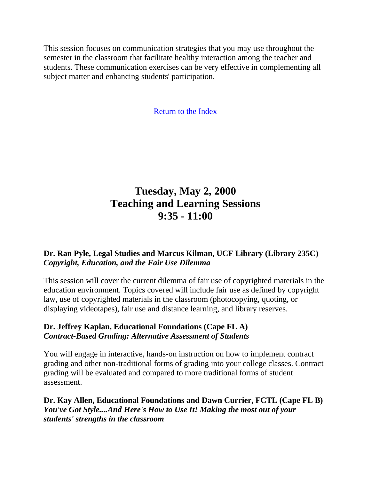This session focuses on communication strategies that you may use throughout the semester in the classroom that facilitate healthy interaction among the teacher and students. These communication exercises can be very effective in complementing all subject matter and enhancing students' participation.

<span id="page-10-0"></span>[Return to the Index](#page-0-0)

# **Tuesday, May 2, 2000 Teaching and Learning Sessions 9:35 - 11:00**

## **Dr. Ran Pyle, Legal Studies and Marcus Kilman, UCF Library (Library 235C)** *Copyright, Education, and the Fair Use Dilemma*

This session will cover the current dilemma of fair use of copyrighted materials in the education environment. Topics covered will include fair use as defined by copyright law, use of copyrighted materials in the classroom (photocopying, quoting, or displaying videotapes), fair use and distance learning, and library reserves.

## **Dr. Jeffrey Kaplan, Educational Foundations (Cape FL A)** *Contract-Based Grading: Alternative Assessment of Students*

You will engage in interactive, hands-on instruction on how to implement contract grading and other non-traditional forms of grading into your college classes. Contract grading will be evaluated and compared to more traditional forms of student assessment.

**Dr. Kay Allen, Educational Foundations and Dawn Currier, FCTL (Cape FL B)** *You've Got Style....And Here's How to Use It! Making the most out of your students' strengths in the classroom*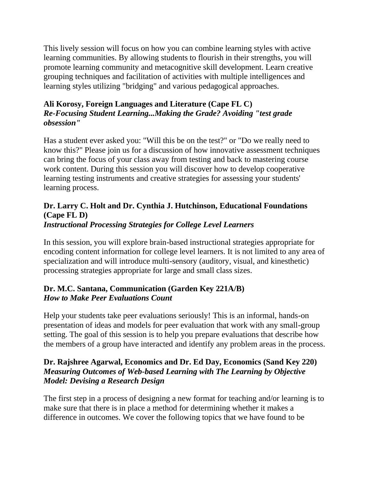This lively session will focus on how you can combine learning styles with active learning communities. By allowing students to flourish in their strengths, you will promote learning community and metacognitive skill development. Learn creative grouping techniques and facilitation of activities with multiple intelligences and learning styles utilizing "bridging" and various pedagogical approaches.

## **Ali Korosy, Foreign Languages and Literature (Cape FL C)** *Re-Focusing Student Learning...Making the Grade? Avoiding "test grade obsession"*

Has a student ever asked you: "Will this be on the test?" or "Do we really need to know this?" Please join us for a discussion of how innovative assessment techniques can bring the focus of your class away from testing and back to mastering course work content. During this session you will discover how to develop cooperative learning testing instruments and creative strategies for assessing your students' learning process.

## **Dr. Larry C. Holt and Dr. Cynthia J. Hutchinson, Educational Foundations (Cape FL D)** *Instructional Processing Strategies for College Level Learners*

In this session, you will explore brain-based instructional strategies appropriate for encoding content information for college level learners. It is not limited to any area of specialization and will introduce multi-sensory (auditory, visual, and kinesthetic) processing strategies appropriate for large and small class sizes.

## **Dr. M.C. Santana, Communication (Garden Key 221A/B)** *How to Make Peer Evaluations Count*

Help your students take peer evaluations seriously! This is an informal, hands-on presentation of ideas and models for peer evaluation that work with any small-group setting. The goal of this session is to help you prepare evaluations that describe how the members of a group have interacted and identify any problem areas in the process.

## **Dr. Rajshree Agarwal, Economics and Dr. Ed Day, Economics (Sand Key 220)** *Measuring Outcomes of Web-based Learning with The Learning by Objective Model: Devising a Research Design*

The first step in a process of designing a new format for teaching and/or learning is to make sure that there is in place a method for determining whether it makes a difference in outcomes. We cover the following topics that we have found to be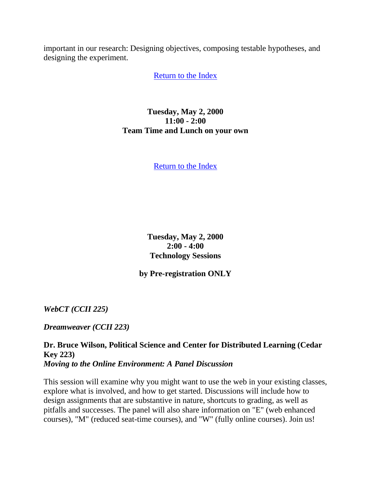<span id="page-12-0"></span>important in our research: Designing objectives, composing testable hypotheses, and designing the experiment.

[Return to the Index](#page-0-0)

**Tuesday, May 2, 2000 11:00 - 2:00 Team Time and Lunch on your own**

[Return to the Index](#page-0-0)

**Tuesday, May 2, 2000 2:00 - 4:00 Technology Sessions**

**by Pre-registration ONLY**

<span id="page-12-1"></span>*WebCT (CCII 225)*

*Dreamweaver (CCII 223)*

**Dr. Bruce Wilson, Political Science and Center for Distributed Learning (Cedar Key 223)** *Moving to the Online Environment: A Panel Discussion*

This session will examine why you might want to use the web in your existing classes, explore what is involved, and how to get started. Discussions will include how to design assignments that are substantive in nature, shortcuts to grading, as well as pitfalls and successes. The panel will also share information on "E" (web enhanced courses), "M" (reduced seat-time courses), and "W" (fully online courses). Join us!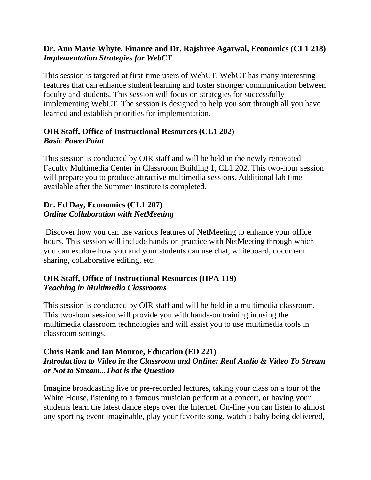## **Dr. Ann Marie Whyte, Finance and Dr. Rajshree Agarwal, Economics (CL1 218)** *Implementation Strategies for WebCT*

This session is targeted at first-time users of WebCT. WebCT has many interesting features that can enhance student learning and foster stronger communication between faculty and students. This session will focus on strategies for successfully implementing WebCT. The session is designed to help you sort through all you have learned and establish priorities for implementation.

## **OIR Staff, Office of Instructional Resources (CL1 202)** *Basic PowerPoint*

This session is conducted by OIR staff and will be held in the newly renovated Faculty Multimedia Center in Classroom Building 1, CL1 202. This two-hour session will prepare you to produce attractive multimedia sessions. Additional lab time available after the Summer Institute is completed.

## **Dr. Ed Day, Economics (CL1 207)** *Online Collaboration with NetMeeting*

Discover how you can use various features of NetMeeting to enhance your office hours. This session will include hands-on practice with NetMeeting through which you can explore how you and your students can use chat, whiteboard, document sharing, collaborative editing, etc.

## **OIR Staff, Office of Instructional Resources (HPA 119)** *Teaching in Multimedia Classrooms*

This session is conducted by OIR staff and will be held in a multimedia classroom. This two-hour session will provide you with hands-on training in using the multimedia classroom technologies and will assist you to use multimedia tools in classroom settings.

## **Chris Rank and Ian Monroe, Education (ED 221)** *Introduction to Video in the Classroom and Online: Real Audio & Video To Stream or Not to Stream...That is the Question*

Imagine broadcasting live or pre-recorded lectures, taking your class on a tour of the White House, listening to a famous musician perform at a concert, or having your students learn the latest dance steps over the Internet. On-line you can listen to almost any sporting event imaginable, play your favorite song, watch a baby being delivered,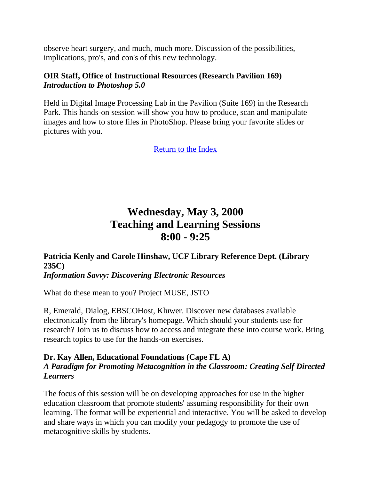observe heart surgery, and much, much more. Discussion of the possibilities, implications, pro's, and con's of this new technology.

### **OIR Staff, Office of Instructional Resources (Research Pavilion 169)** *Introduction to Photoshop 5.0*

Held in Digital Image Processing Lab in the Pavilion (Suite 169) in the Research Park. This hands-on session will show you how to produce, scan and manipulate images and how to store files in PhotoShop. Please bring your favorite slides or pictures with you.

<span id="page-14-0"></span>[Return to the Index](#page-0-0)

## **Wednesday, May 3, 2000 Teaching and Learning Sessions 8:00 - 9:25**

**Patricia Kenly and Carole Hinshaw, UCF Library Reference Dept. (Library 235C)** *Information Savvy: Discovering Electronic Resources*

What do these mean to you? Project MUSE, JSTO

R, Emerald, Dialog, EBSCOHost, Kluwer. Discover new databases available electronically from the library's homepage. Which should your students use for research? Join us to discuss how to access and integrate these into course work. Bring research topics to use for the hands-on exercises.

### **Dr. Kay Allen, Educational Foundations (Cape FL A)** *A Paradigm for Promoting Metacognition in the Classroom: Creating Self Directed Learners*

The focus of this session will be on developing approaches for use in the higher education classroom that promote students' assuming responsibility for their own learning. The format will be experiential and interactive. You will be asked to develop and share ways in which you can modify your pedagogy to promote the use of metacognitive skills by students.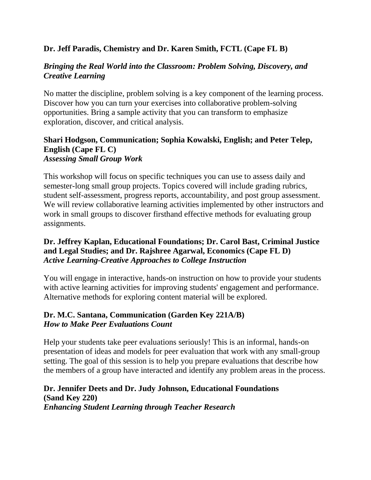## **Dr. Jeff Paradis, Chemistry and Dr. Karen Smith, FCTL (Cape FL B)**

## *Bringing the Real World into the Classroom: Problem Solving, Discovery, and Creative Learning*

No matter the discipline, problem solving is a key component of the learning process. Discover how you can turn your exercises into collaborative problem-solving opportunities. Bring a sample activity that you can transform to emphasize exploration, discover, and critical analysis.

#### **Shari Hodgson, Communication; Sophia Kowalski, English; and Peter Telep, English (Cape FL C)** *Assessing Small Group Work*

This workshop will focus on specific techniques you can use to assess daily and semester-long small group projects. Topics covered will include grading rubrics, student self-assessment, progress reports, accountability, and post group assessment. We will review collaborative learning activities implemented by other instructors and work in small groups to discover firsthand effective methods for evaluating group assignments.

## **Dr. Jeffrey Kaplan, Educational Foundations; Dr. Carol Bast, Criminal Justice and Legal Studies; and Dr. Rajshree Agarwal, Economics (Cape FL D)** *Active Learning-Creative Approaches to College Instruction*

You will engage in interactive, hands-on instruction on how to provide your students with active learning activities for improving students' engagement and performance. Alternative methods for exploring content material will be explored.

## **Dr. M.C. Santana, Communication (Garden Key 221A/B)** *How to Make Peer Evaluations Count*

Help your students take peer evaluations seriously! This is an informal, hands-on presentation of ideas and models for peer evaluation that work with any small-group setting. The goal of this session is to help you prepare evaluations that describe how the members of a group have interacted and identify any problem areas in the process.

## **Dr. Jennifer Deets and Dr. Judy Johnson, Educational Foundations (Sand Key 220)** *Enhancing Student Learning through Teacher Research*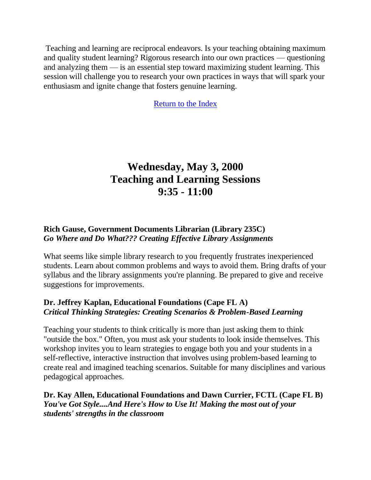Teaching and learning are reciprocal endeavors. Is your teaching obtaining maximum and quality student learning? Rigorous research into our own practices — questioning and analyzing them — is an essential step toward maximizing student learning. This session will challenge you to research your own practices in ways that will spark your enthusiasm and ignite change that fosters genuine learning.

<span id="page-16-0"></span>[Return to the Index](#page-0-0)

## **Wednesday, May 3, 2000 Teaching and Learning Sessions 9:35 - 11:00**

## **Rich Gause, Government Documents Librarian (Library 235C)** *Go Where and Do What??? Creating Effective Library Assignments*

What seems like simple library research to you frequently frustrates inexperienced students. Learn about common problems and ways to avoid them. Bring drafts of your syllabus and the library assignments you're planning. Be prepared to give and receive suggestions for improvements.

## **Dr. Jeffrey Kaplan, Educational Foundations (Cape FL A)** *Critical Thinking Strategies: Creating Scenarios & Problem-Based Learning*

Teaching your students to think critically is more than just asking them to think "outside the box." Often, you must ask your students to look inside themselves. This workshop invites you to learn strategies to engage both you and your students in a self-reflective, interactive instruction that involves using problem-based learning to create real and imagined teaching scenarios. Suitable for many disciplines and various pedagogical approaches.

**Dr. Kay Allen, Educational Foundations and Dawn Currier, FCTL (Cape FL B)** *You've Got Style....And Here's How to Use It! Making the most out of your students' strengths in the classroom*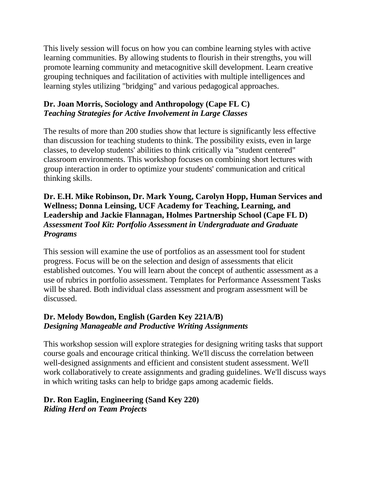This lively session will focus on how you can combine learning styles with active learning communities. By allowing students to flourish in their strengths, you will promote learning community and metacognitive skill development. Learn creative grouping techniques and facilitation of activities with multiple intelligences and learning styles utilizing "bridging" and various pedagogical approaches.

## **Dr. Joan Morris, Sociology and Anthropology (Cape FL C)** *Teaching Strategies for Active Involvement in Large Classes*

The results of more than 200 studies show that lecture is significantly less effective than discussion for teaching students to think. The possibility exists, even in large classes, to develop students' abilities to think critically via "student centered" classroom environments. This workshop focuses on combining short lectures with group interaction in order to optimize your students' communication and critical thinking skills.

## **Dr. E.H. Mike Robinson, Dr. Mark Young, Carolyn Hopp, Human Services and Wellness; Donna Leinsing, UCF Academy for Teaching, Learning, and Leadership and Jackie Flannagan, Holmes Partnership School (Cape FL D)** *Assessment Tool Kit: Portfolio Assessment in Undergraduate and Graduate Programs*

This session will examine the use of portfolios as an assessment tool for student progress. Focus will be on the selection and design of assessments that elicit established outcomes. You will learn about the concept of authentic assessment as a use of rubrics in portfolio assessment. Templates for Performance Assessment Tasks will be shared. Both individual class assessment and program assessment will be discussed.

## **Dr. Melody Bowdon, English (Garden Key 221A/B)** *Designing Manageable and Productive Writing Assignments*

This workshop session will explore strategies for designing writing tasks that support course goals and encourage critical thinking. We'll discuss the correlation between well-designed assignments and efficient and consistent student assessment. We'll work collaboratively to create assignments and grading guidelines. We'll discuss ways in which writing tasks can help to bridge gaps among academic fields.

## **Dr. Ron Eaglin, Engineering (Sand Key 220)** *Riding Herd on Team Projects*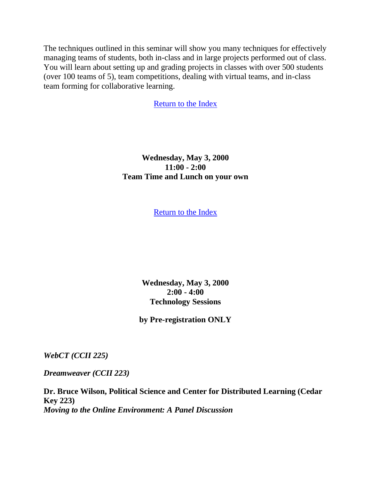The techniques outlined in this seminar will show you many techniques for effectively managing teams of students, both in-class and in large projects performed out of class. You will learn about setting up and grading projects in classes with over 500 students (over 100 teams of 5), team competitions, dealing with virtual teams, and in-class team forming for collaborative learning.

[Return to the Index](#page-0-0)

<span id="page-18-0"></span>**Wednesday, May 3, 2000 11:00 - 2:00 Team Time and Lunch on your own**

[Return to the Index](#page-0-0)

**Wednesday, May 3, 2000 2:00 - 4:00 Technology Sessions**

**by Pre-registration ONLY**

*WebCT (CCII 225)*

*Dreamweaver (CCII 223)*

**Dr. Bruce Wilson, Political Science and Center for Distributed Learning (Cedar Key 223)** *Moving to the Online Environment: A Panel Discussion*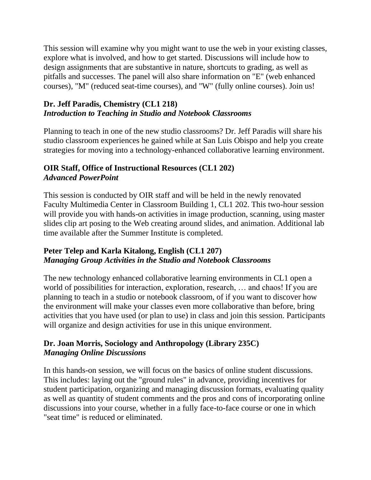This session will examine why you might want to use the web in your existing classes, explore what is involved, and how to get started. Discussions will include how to design assignments that are substantive in nature, shortcuts to grading, as well as pitfalls and successes. The panel will also share information on "E" (web enhanced courses), "M" (reduced seat-time courses), and "W" (fully online courses). Join us!

## **Dr. Jeff Paradis, Chemistry (CL1 218)** *Introduction to Teaching in Studio and Notebook Classrooms*

Planning to teach in one of the new studio classrooms? Dr. Jeff Paradis will share his studio classroom experiences he gained while at San Luis Obispo and help you create strategies for moving into a technology-enhanced collaborative learning environment.

## **OIR Staff, Office of Instructional Resources (CL1 202)** *Advanced PowerPoint*

This session is conducted by OIR staff and will be held in the newly renovated Faculty Multimedia Center in Classroom Building 1, CL1 202. This two-hour session will provide you with hands-on activities in image production, scanning, using master slides clip art posing to the Web creating around slides, and animation. Additional lab time available after the Summer Institute is completed.

## **Peter Telep and Karla Kitalong, English (CL1 207)** *Managing Group Activities in the Studio and Notebook Classrooms*

The new technology enhanced collaborative learning environments in CL1 open a world of possibilities for interaction, exploration, research, ... and chaos! If you are planning to teach in a studio or notebook classroom, of if you want to discover how the environment will make your classes even more collaborative than before, bring activities that you have used (or plan to use) in class and join this session. Participants will organize and design activities for use in this unique environment.

## **Dr. Joan Morris, Sociology and Anthropology (Library 235C)** *Managing Online Discussions*

In this hands-on session, we will focus on the basics of online student discussions. This includes: laying out the "ground rules" in advance, providing incentives for student participation, organizing and managing discussion formats, evaluating quality as well as quantity of student comments and the pros and cons of incorporating online discussions into your course, whether in a fully face-to-face course or one in which "seat time" is reduced or eliminated.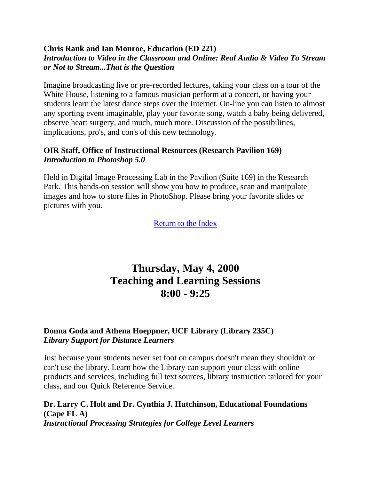#### **Chris Rank and Ian Monroe, Education (ED 221)** *Introduction to Video in the Classroom and Online: Real Audio & Video To Stream or Not to Stream...That is the Question*

Imagine broadcasting live or pre-recorded lectures, taking your class on a tour of the White House, listening to a famous musician perform at a concert, or having your students learn the latest dance steps over the Internet. On-line you can listen to almost any sporting event imaginable, play your favorite song, watch a baby being delivered, observe heart surgery, and much, much more. Discussion of the possibilities, implications, pro's, and con's of this new technology.

#### **OIR Staff, Office of Instructional Resources (Research Pavilion 169)** *Introduction to Photoshop 5.0*

Held in Digital Image Processing Lab in the Pavilion (Suite 169) in the Research Park. This hands-on session will show you how to produce, scan and manipulate images and how to store files in PhotoShop. Please bring your favorite slides or pictures with you.

<span id="page-20-0"></span>[Return to the Index](#page-0-0)

## **Thursday, May 4, 2000 Teaching and Learning Sessions 8:00 - 9:25**

## **Donna Goda and Athena Hoeppner, UCF Library (Library 235C)** *Library Support for Distance Learners*

Just because your students never set foot on campus doesn't mean they shouldn't or can't use the library. Learn how the Library can support your class with online products and services, including full text sources, library instruction tailored for your class, and our Quick Reference Service.

**Dr. Larry C. Holt and Dr. Cynthia J. Hutchinson, Educational Foundations (Cape FL A)** *Instructional Processing Strategies for College Level Learners*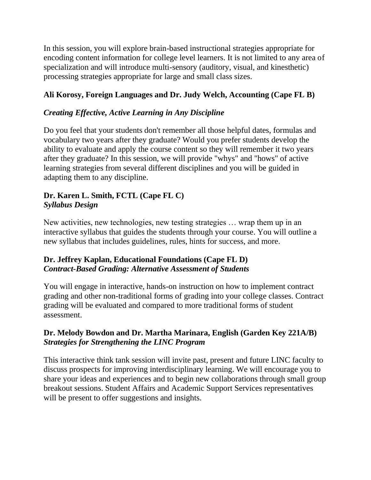In this session, you will explore brain-based instructional strategies appropriate for encoding content information for college level learners. It is not limited to any area of specialization and will introduce multi-sensory (auditory, visual, and kinesthetic) processing strategies appropriate for large and small class sizes.

## **Ali Korosy, Foreign Languages and Dr. Judy Welch, Accounting (Cape FL B)**

## *Creating Effective, Active Learning in Any Discipline*

Do you feel that your students don't remember all those helpful dates, formulas and vocabulary two years after they graduate? Would you prefer students develop the ability to evaluate and apply the course content so they will remember it two years after they graduate? In this session, we will provide "whys" and "hows" of active learning strategies from several different disciplines and you will be guided in adapting them to any discipline.

## **Dr. Karen L. Smith, FCTL (Cape FL C)** *Syllabus Design*

New activities, new technologies, new testing strategies … wrap them up in an interactive syllabus that guides the students through your course. You will outline a new syllabus that includes guidelines, rules, hints for success, and more.

## **Dr. Jeffrey Kaplan, Educational Foundations (Cape FL D)** *Contract-Based Grading: Alternative Assessment of Students*

You will engage in interactive, hands-on instruction on how to implement contract grading and other non-traditional forms of grading into your college classes. Contract grading will be evaluated and compared to more traditional forms of student assessment.

## **Dr. Melody Bowdon and Dr. Martha Marinara, English (Garden Key 221A/B)** *Strategies for Strengthening the LINC Program*

This interactive think tank session will invite past, present and future LINC faculty to discuss prospects for improving interdisciplinary learning. We will encourage you to share your ideas and experiences and to begin new collaborations through small group breakout sessions. Student Affairs and Academic Support Services representatives will be present to offer suggestions and insights.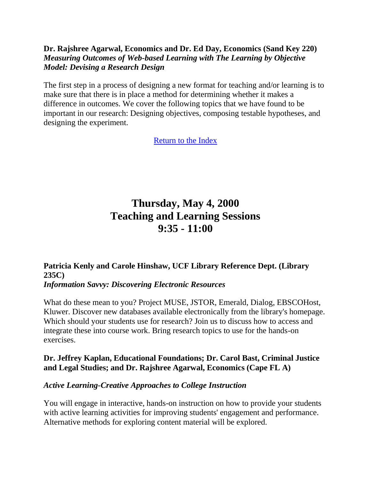## **Dr. Rajshree Agarwal, Economics and Dr. Ed Day, Economics (Sand Key 220)** *Measuring Outcomes of Web-based Learning with The Learning by Objective Model: Devising a Research Design*

The first step in a process of designing a new format for teaching and/or learning is to make sure that there is in place a method for determining whether it makes a difference in outcomes. We cover the following topics that we have found to be important in our research: Designing objectives, composing testable hypotheses, and designing the experiment.

<span id="page-22-0"></span>[Return to the Index](#page-0-0)

# **Thursday, May 4, 2000 Teaching and Learning Sessions 9:35 - 11:00**

## **Patricia Kenly and Carole Hinshaw, UCF Library Reference Dept. (Library 235C)**

#### *Information Savvy: Discovering Electronic Resources*

What do these mean to you? Project MUSE, JSTOR, Emerald, Dialog, EBSCOHost, Kluwer. Discover new databases available electronically from the library's homepage. Which should your students use for research? Join us to discuss how to access and integrate these into course work. Bring research topics to use for the hands-on exercises.

## **Dr. Jeffrey Kaplan, Educational Foundations; Dr. Carol Bast, Criminal Justice and Legal Studies; and Dr. Rajshree Agarwal, Economics (Cape FL A)**

## *Active Learning-Creative Approaches to College Instruction*

You will engage in interactive, hands-on instruction on how to provide your students with active learning activities for improving students' engagement and performance. Alternative methods for exploring content material will be explored.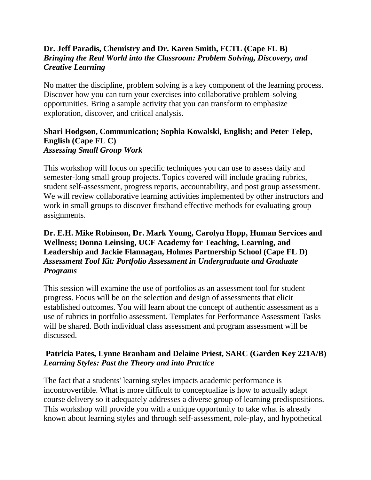## **Dr. Jeff Paradis, Chemistry and Dr. Karen Smith, FCTL (Cape FL B)** *Bringing the Real World into the Classroom: Problem Solving, Discovery, and Creative Learning*

No matter the discipline, problem solving is a key component of the learning process. Discover how you can turn your exercises into collaborative problem-solving opportunities. Bring a sample activity that you can transform to emphasize exploration, discover, and critical analysis.

#### **Shari Hodgson, Communication; Sophia Kowalski, English; and Peter Telep, English (Cape FL C)** *Assessing Small Group Work*

This workshop will focus on specific techniques you can use to assess daily and semester-long small group projects. Topics covered will include grading rubrics, student self-assessment, progress reports, accountability, and post group assessment. We will review collaborative learning activities implemented by other instructors and work in small groups to discover firsthand effective methods for evaluating group assignments.

## **Dr. E.H. Mike Robinson, Dr. Mark Young, Carolyn Hopp, Human Services and Wellness; Donna Leinsing, UCF Academy for Teaching, Learning, and Leadership and Jackie Flannagan, Holmes Partnership School (Cape FL D)** *Assessment Tool Kit: Portfolio Assessment in Undergraduate and Graduate Programs*

This session will examine the use of portfolios as an assessment tool for student progress. Focus will be on the selection and design of assessments that elicit established outcomes. You will learn about the concept of authentic assessment as a use of rubrics in portfolio assessment. Templates for Performance Assessment Tasks will be shared. Both individual class assessment and program assessment will be discussed.

## **Patricia Pates, Lynne Branham and Delaine Priest, SARC (Garden Key 221A/B)** *Learning Styles: Past the Theory and into Practice*

The fact that a students' learning styles impacts academic performance is incontrovertible. What is more difficult to conceptualize is how to actually adapt course delivery so it adequately addresses a diverse group of learning predispositions. This workshop will provide you with a unique opportunity to take what is already known about learning styles and through self-assessment, role-play, and hypothetical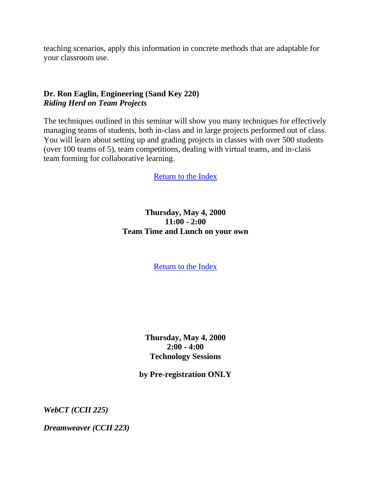teaching scenarios, apply this information in concrete methods that are adaptable for your classroom use.

## **Dr. Ron Eaglin, Engineering (Sand Key 220)** *Riding Herd on Team Projects*

The techniques outlined in this seminar will show you many techniques for effectively managing teams of students, both in-class and in large projects performed out of class. You will learn about setting up and grading projects in classes with over 500 students (over 100 teams of 5), team competitions, dealing with virtual teams, and in-class team forming for collaborative learning.

[Return to](#page-0-0) the Index

## <span id="page-24-0"></span>**Thursday, May 4, 2000 11:00 - 2:00 Team Time and Lunch on your own**

[Return to the Index](#page-0-0)

**Thursday, May 4, 2000 2:00 - 4:00 Technology Sessions**

**by Pre-registration ONLY**

*WebCT (CCII 225)*

*Dreamweaver (CCII 223)*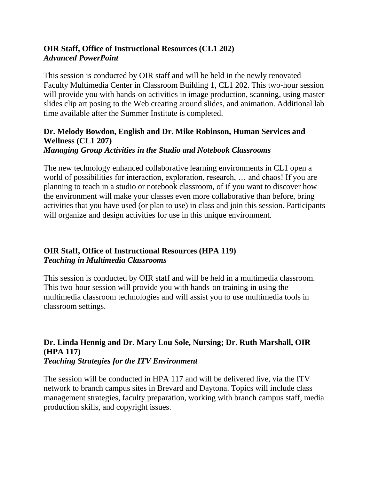## **OIR Staff, Office of Instructional Resources (CL1 202)** *Advanced PowerPoint*

This session is conducted by OIR staff and will be held in the newly renovated Faculty Multimedia Center in Classroom Building 1, CL1 202. This two-hour session will provide you with hands-on activities in image production, scanning, using master slides clip art posing to the Web creating around slides, and animation. Additional lab time available after the Summer Institute is completed.

#### **Dr. Melody Bowdon, English and Dr. Mike Robinson, Human Services and Wellness (CL1 207)** *Managing Group Activities in the Studio and Notebook Classrooms*

The new technology enhanced collaborative learning environments in CL1 open a world of possibilities for interaction, exploration, research, ... and chaos! If you are planning to teach in a studio or notebook classroom, of if you want to discover how the environment will make your classes even more collaborative than before, bring activities that you have used (or plan to use) in class and join this session. Participants will organize and design activities for use in this unique environment.

## **OIR Staff, Office of Instructional Resources (HPA 119)** *Teaching in Multimedia Classrooms*

This session is conducted by OIR staff and will be held in a multimedia classroom. This two-hour session will provide you with hands-on training in using the multimedia classroom technologies and will assist you to use multimedia tools in classroom settings.

#### **Dr. Linda Hennig and Dr. Mary Lou Sole, Nursing; Dr. Ruth Marshall, OIR (HPA 117)** *Teaching Strategies for the ITV Environment*

The session will be conducted in HPA 117 and will be delivered live, via the ITV network to branch campus sites in Brevard and Daytona. Topics will include class management strategies, faculty preparation, working with branch campus staff, media production skills, and copyright issues.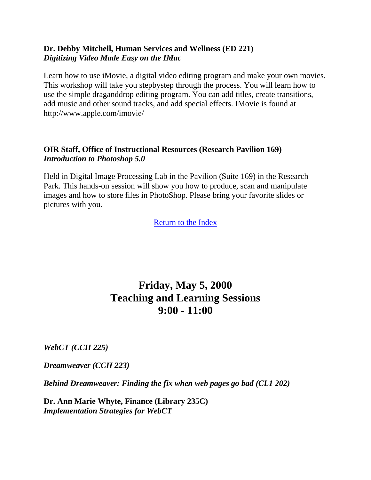## **Dr. Debby Mitchell, Human Services and Wellness (ED 221)** *Digitizing Video Made Easy on the IMac*

Learn how to use iMovie, a digital video editing program and make your own movies. This workshop will take you stepbystep through the process. You will learn how to use the simple draganddrop editing program. You can add titles, create transitions, add music and other sound tracks, and add special effects. IMovie is found at http://www.apple.com/imovie/

## **OIR Staff, Office of Instructional Resources (Research Pavilion 169)** *Introduction to Photoshop 5.0*

Held in Digital Image Processing Lab in the Pavilion (Suite 169) in the Research Park. This hands-on session will show you how to produce, scan and manipulate images and how to store files in PhotoShop. Please bring your favorite slides or pictures with you.

<span id="page-26-0"></span>[Return to the Index](#page-0-0)

## **Friday, May 5, 2000 Teaching and Learning Sessions 9:00 - 11:00**

*WebCT (CCII 225)*

*Dreamweaver (CCII 223)*

*Behind Dreamweaver: Finding the fix when web pages go bad (CL1 202)*

**Dr. Ann Marie Whyte, Finance (Library 235C)** *Implementation Strategies for WebCT*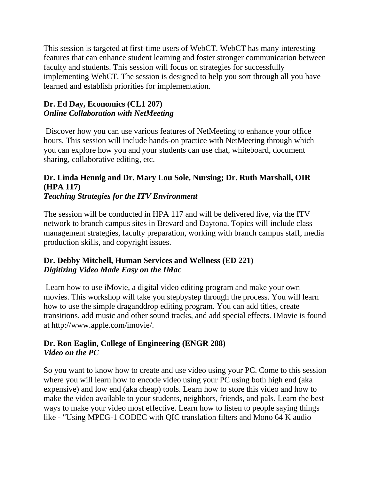This session is targeted at first-time users of WebCT. WebCT has many interesting features that can enhance student learning and foster stronger communication between faculty and students. This session will focus on strategies for successfully implementing WebCT. The session is designed to help you sort through all you have learned and establish priorities for implementation.

## **Dr. Ed Day, Economics (CL1 207)** *Online Collaboration with NetMeeting*

Discover how you can use various features of NetMeeting to enhance your office hours. This session will include hands-on practice with NetMeeting through which you can explore how you and your students can use chat, whiteboard, document sharing, collaborative editing, etc.

#### **Dr. Linda Hennig and Dr. Mary Lou Sole, Nursing; Dr. Ruth Marshall, OIR (HPA 117)** *Teaching Strategies for the ITV Environment*

The session will be conducted in HPA 117 and will be delivered live, via the ITV network to branch campus sites in Brevard and Daytona. Topics will include class management strategies, faculty preparation, working with branch campus staff, media production skills, and copyright issues.

## **Dr. Debby Mitchell, Human Services and Wellness (ED 221)** *Digitizing Video Made Easy on the IMac*

Learn how to use iMovie, a digital video editing program and make your own movies. This workshop will take you stepbystep through the process. You will learn how to use the simple draganddrop editing program. You can add titles, create transitions, add music and other sound tracks, and add special effects. IMovie is found at http://www.apple.com/imovie/.

## **Dr. Ron Eaglin, College of Engineering (ENGR 288)** *Video on the PC*

So you want to know how to create and use video using your PC. Come to this session where you will learn how to encode video using your PC using both high end (aka expensive) and low end (aka cheap) tools. Learn how to store this video and how to make the video available to your students, neighbors, friends, and pals. Learn the best ways to make your video most effective. Learn how to listen to people saying things like - "Using MPEG-1 CODEC with QIC translation filters and Mono 64 K audio